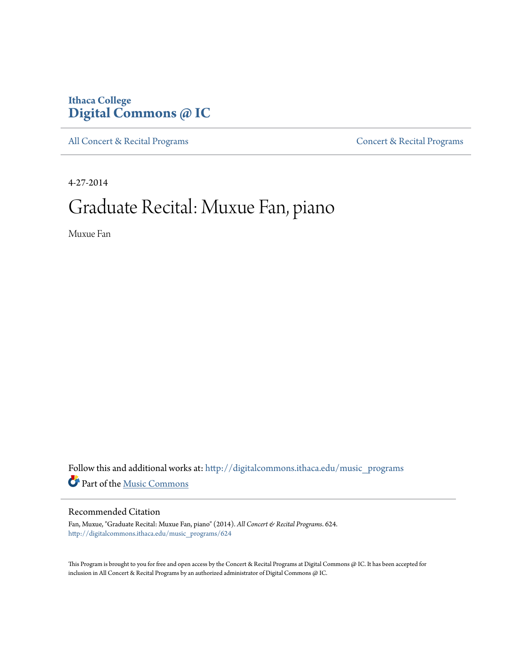### **Ithaca College [Digital Commons @ IC](http://digitalcommons.ithaca.edu?utm_source=digitalcommons.ithaca.edu%2Fmusic_programs%2F624&utm_medium=PDF&utm_campaign=PDFCoverPages)**

[All Concert & Recital Programs](http://digitalcommons.ithaca.edu/music_programs?utm_source=digitalcommons.ithaca.edu%2Fmusic_programs%2F624&utm_medium=PDF&utm_campaign=PDFCoverPages) **[Concert & Recital Programs](http://digitalcommons.ithaca.edu/som_programs?utm_source=digitalcommons.ithaca.edu%2Fmusic_programs%2F624&utm_medium=PDF&utm_campaign=PDFCoverPages)** 

4-27-2014

# Graduate Recital: Muxue Fan, piano

Muxue Fan

Follow this and additional works at: [http://digitalcommons.ithaca.edu/music\\_programs](http://digitalcommons.ithaca.edu/music_programs?utm_source=digitalcommons.ithaca.edu%2Fmusic_programs%2F624&utm_medium=PDF&utm_campaign=PDFCoverPages) Part of the [Music Commons](http://network.bepress.com/hgg/discipline/518?utm_source=digitalcommons.ithaca.edu%2Fmusic_programs%2F624&utm_medium=PDF&utm_campaign=PDFCoverPages)

#### Recommended Citation

Fan, Muxue, "Graduate Recital: Muxue Fan, piano" (2014). *All Concert & Recital Programs*. 624. [http://digitalcommons.ithaca.edu/music\\_programs/624](http://digitalcommons.ithaca.edu/music_programs/624?utm_source=digitalcommons.ithaca.edu%2Fmusic_programs%2F624&utm_medium=PDF&utm_campaign=PDFCoverPages)

This Program is brought to you for free and open access by the Concert & Recital Programs at Digital Commons @ IC. It has been accepted for inclusion in All Concert & Recital Programs by an authorized administrator of Digital Commons @ IC.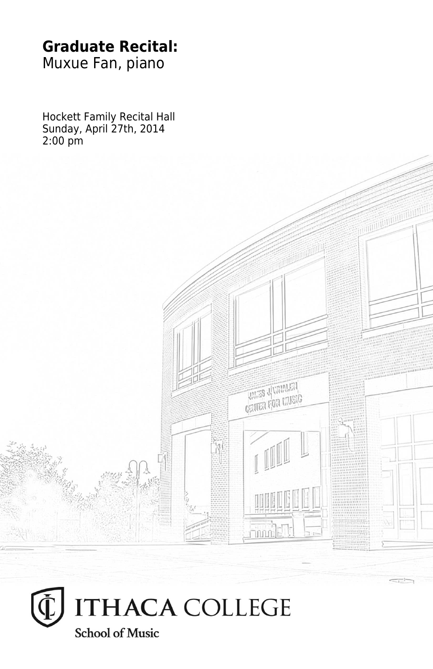#### **Graduate Recital:** Muxue Fan, piano

Hockett Family Recital Hall Sunday, April 27th, 2014 2:00 pm